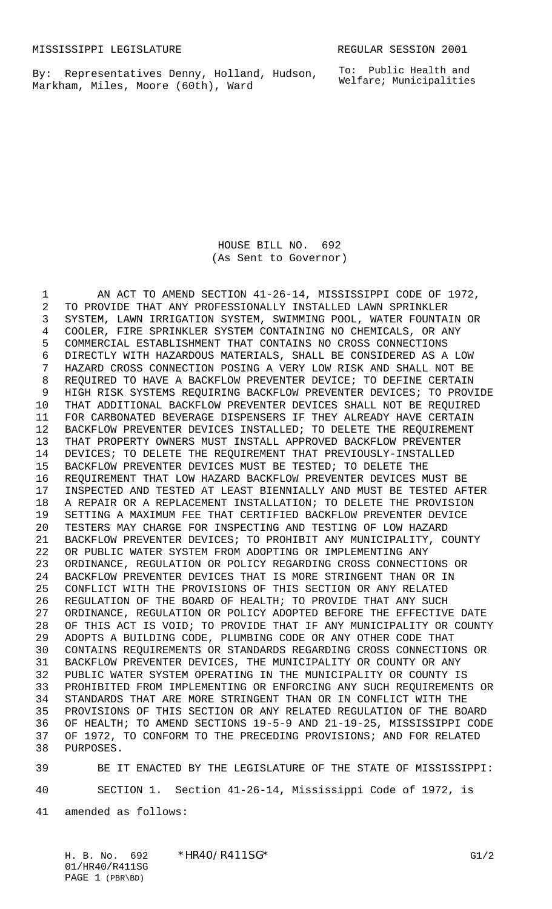By: Representatives Denny, Holland, Hudson, To: Public Health and<br>Markham, Miles Moere (60th), Hard Markham, Miles, Moore (60th), Ward

To: Public Health and

HOUSE BILL NO. 692 (As Sent to Governor)

1 AN ACT TO AMEND SECTION 41-26-14, MISSISSIPPI CODE OF 1972, TO PROVIDE THAT ANY PROFESSIONALLY INSTALLED LAWN SPRINKLER SYSTEM, LAWN IRRIGATION SYSTEM, SWIMMING POOL, WATER FOUNTAIN OR COOLER, FIRE SPRINKLER SYSTEM CONTAINING NO CHEMICALS, OR ANY COMMERCIAL ESTABLISHMENT THAT CONTAINS NO CROSS CONNECTIONS DIRECTLY WITH HAZARDOUS MATERIALS, SHALL BE CONSIDERED AS A LOW HAZARD CROSS CONNECTION POSING A VERY LOW RISK AND SHALL NOT BE REQUIRED TO HAVE A BACKFLOW PREVENTER DEVICE; TO DEFINE CERTAIN HIGH RISK SYSTEMS REQUIRING BACKFLOW PREVENTER DEVICES; TO PROVIDE THAT ADDITIONAL BACKFLOW PREVENTER DEVICES SHALL NOT BE REQUIRED FOR CARBONATED BEVERAGE DISPENSERS IF THEY ALREADY HAVE CERTAIN BACKFLOW PREVENTER DEVICES INSTALLED; TO DELETE THE REQUIREMENT THAT PROPERTY OWNERS MUST INSTALL APPROVED BACKFLOW PREVENTER DEVICES; TO DELETE THE REQUIREMENT THAT PREVIOUSLY-INSTALLED BACKFLOW PREVENTER DEVICES MUST BE TESTED; TO DELETE THE REQUIREMENT THAT LOW HAZARD BACKFLOW PREVENTER DEVICES MUST BE INSPECTED AND TESTED AT LEAST BIENNIALLY AND MUST BE TESTED AFTER A REPAIR OR A REPLACEMENT INSTALLATION; TO DELETE THE PROVISION SETTING A MAXIMUM FEE THAT CERTIFIED BACKFLOW PREVENTER DEVICE TESTERS MAY CHARGE FOR INSPECTING AND TESTING OF LOW HAZARD BACKFLOW PREVENTER DEVICES; TO PROHIBIT ANY MUNICIPALITY, COUNTY OR PUBLIC WATER SYSTEM FROM ADOPTING OR IMPLEMENTING ANY ORDINANCE, REGULATION OR POLICY REGARDING CROSS CONNECTIONS OR BACKFLOW PREVENTER DEVICES THAT IS MORE STRINGENT THAN OR IN CONFLICT WITH THE PROVISIONS OF THIS SECTION OR ANY RELATED REGULATION OF THE BOARD OF HEALTH; TO PROVIDE THAT ANY SUCH ORDINANCE, REGULATION OR POLICY ADOPTED BEFORE THE EFFECTIVE DATE OF THIS ACT IS VOID; TO PROVIDE THAT IF ANY MUNICIPALITY OR COUNTY ADOPTS A BUILDING CODE, PLUMBING CODE OR ANY OTHER CODE THAT CONTAINS REQUIREMENTS OR STANDARDS REGARDING CROSS CONNECTIONS OR BACKFLOW PREVENTER DEVICES, THE MUNICIPALITY OR COUNTY OR ANY PUBLIC WATER SYSTEM OPERATING IN THE MUNICIPALITY OR COUNTY IS PROHIBITED FROM IMPLEMENTING OR ENFORCING ANY SUCH REQUIREMENTS OR STANDARDS THAT ARE MORE STRINGENT THAN OR IN CONFLICT WITH THE PROVISIONS OF THIS SECTION OR ANY RELATED REGULATION OF THE BOARD OF HEALTH; TO AMEND SECTIONS 19-5-9 AND 21-19-25, MISSISSIPPI CODE OF 1972, TO CONFORM TO THE PRECEDING PROVISIONS; AND FOR RELATED PURPOSES.

 BE IT ENACTED BY THE LEGISLATURE OF THE STATE OF MISSISSIPPI: SECTION 1. Section 41-26-14, Mississippi Code of 1972, is

amended as follows:

H. B. No. 692 \* HR40/R411SG\* G1/2 01/HR40/R411SG PAGE 1 (PBR\BD)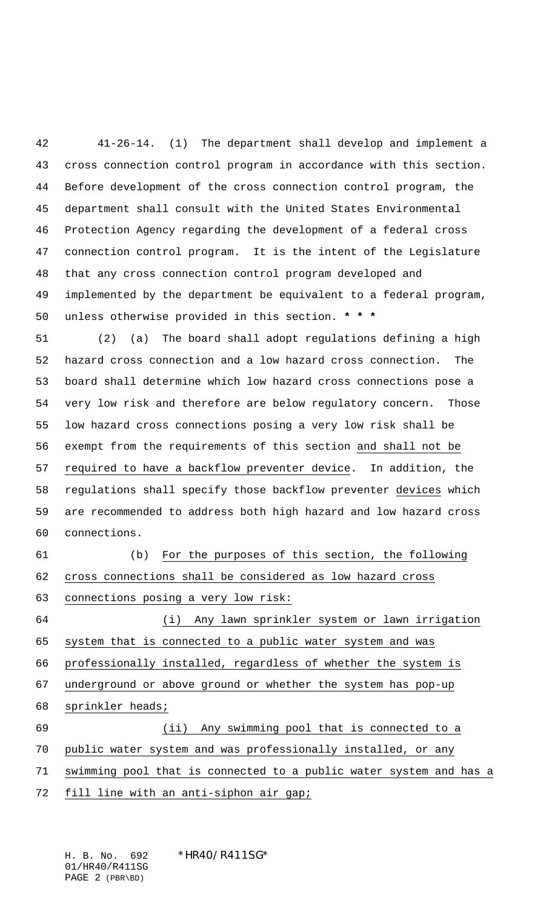41-26-14. (1) The department shall develop and implement a cross connection control program in accordance with this section. Before development of the cross connection control program, the department shall consult with the United States Environmental Protection Agency regarding the development of a federal cross connection control program. It is the intent of the Legislature that any cross connection control program developed and implemented by the department be equivalent to a federal program, unless otherwise provided in this section. **\* \* \***

 (2) (a) The board shall adopt regulations defining a high hazard cross connection and a low hazard cross connection. The board shall determine which low hazard cross connections pose a very low risk and therefore are below regulatory concern. Those low hazard cross connections posing a very low risk shall be exempt from the requirements of this section and shall not be required to have a backflow preventer device. In addition, the regulations shall specify those backflow preventer devices which are recommended to address both high hazard and low hazard cross connections.

 (b) For the purposes of this section, the following cross connections shall be considered as low hazard cross connections posing a very low risk: (i) Any lawn sprinkler system or lawn irrigation

system that is connected to a public water system and was

professionally installed, regardless of whether the system is

underground or above ground or whether the system has pop-up

- sprinkler heads;
- (ii) Any swimming pool that is connected to a public water system and was professionally installed, or any

swimming pool that is connected to a public water system and has a

fill line with an anti-siphon air gap;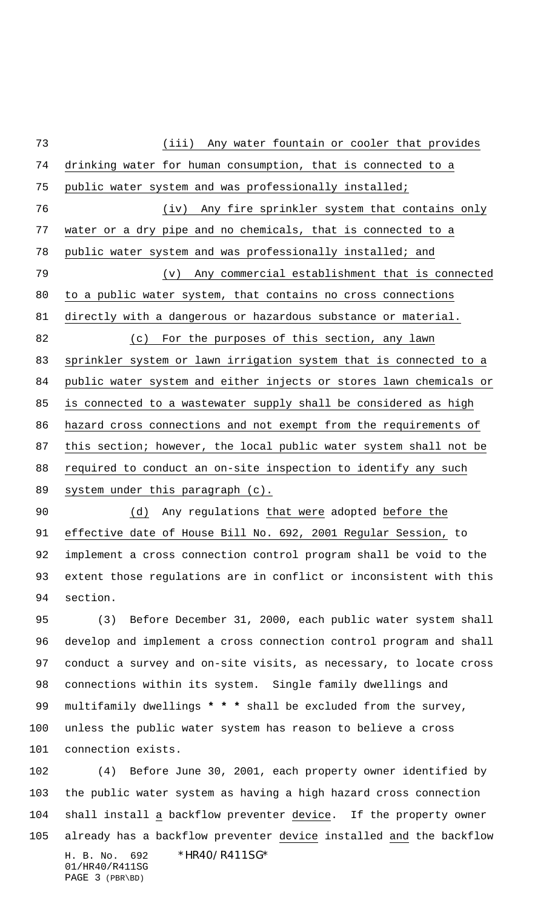(iii) Any water fountain or cooler that provides drinking water for human consumption, that is connected to a public water system and was professionally installed; 76 (iv) Any fire sprinkler system that contains only water or a dry pipe and no chemicals, that is connected to a public water system and was professionally installed; and (v) Any commercial establishment that is connected to a public water system, that contains no cross connections directly with a dangerous or hazardous substance or material. (c) For the purposes of this section, any lawn sprinkler system or lawn irrigation system that is connected to a public water system and either injects or stores lawn chemicals or is connected to a wastewater supply shall be considered as high hazard cross connections and not exempt from the requirements of this section; however, the local public water system shall not be required to conduct an on-site inspection to identify any such system under this paragraph (c). (d) Any regulations that were adopted before the effective date of House Bill No. 692, 2001 Regular Session, to implement a cross connection control program shall be void to the extent those regulations are in conflict or inconsistent with this section. (3) Before December 31, 2000, each public water system shall develop and implement a cross connection control program and shall conduct a survey and on-site visits, as necessary, to locate cross connections within its system. Single family dwellings and multifamily dwellings **\* \* \*** shall be excluded from the survey, unless the public water system has reason to believe a cross connection exists. (4) Before June 30, 2001, each property owner identified by the public water system as having a high hazard cross connection

H. B. No. 692 \*HR40/R411SG\* 01/HR40/R411SG shall install a backflow preventer device. If the property owner 105 already has a backflow preventer device installed and the backflow

PAGE 3 (PBR\BD)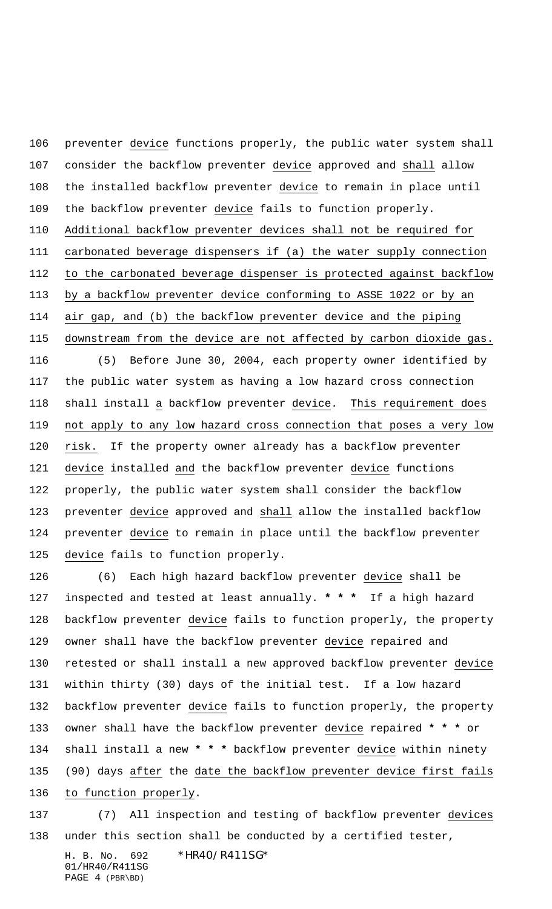preventer device functions properly, the public water system shall consider the backflow preventer device approved and shall allow the installed backflow preventer device to remain in place until the backflow preventer device fails to function properly. Additional backflow preventer devices shall not be required for carbonated beverage dispensers if (a) the water supply connection to the carbonated beverage dispenser is protected against backflow by a backflow preventer device conforming to ASSE 1022 or by an air gap, and (b) the backflow preventer device and the piping downstream from the device are not affected by carbon dioxide gas. (5) Before June 30, 2004, each property owner identified by the public water system as having a low hazard cross connection shall install a backflow preventer device. This requirement does not apply to any low hazard cross connection that poses a very low risk. If the property owner already has a backflow preventer device installed and the backflow preventer device functions properly, the public water system shall consider the backflow preventer device approved and shall allow the installed backflow preventer device to remain in place until the backflow preventer 125 device fails to function properly.

 (6) Each high hazard backflow preventer device shall be inspected and tested at least annually. **\* \* \*** If a high hazard backflow preventer device fails to function properly, the property owner shall have the backflow preventer device repaired and retested or shall install a new approved backflow preventer device within thirty (30) days of the initial test. If a low hazard backflow preventer device fails to function properly, the property owner shall have the backflow preventer device repaired **\* \* \*** or shall install a new **\* \* \*** backflow preventer device within ninety (90) days after the date the backflow preventer device first fails to function properly.

 (7) All inspection and testing of backflow preventer devices under this section shall be conducted by a certified tester,

H. B. No. 692 \*HR40/R411SG\* 01/HR40/R411SG PAGE 4 (PBR\BD)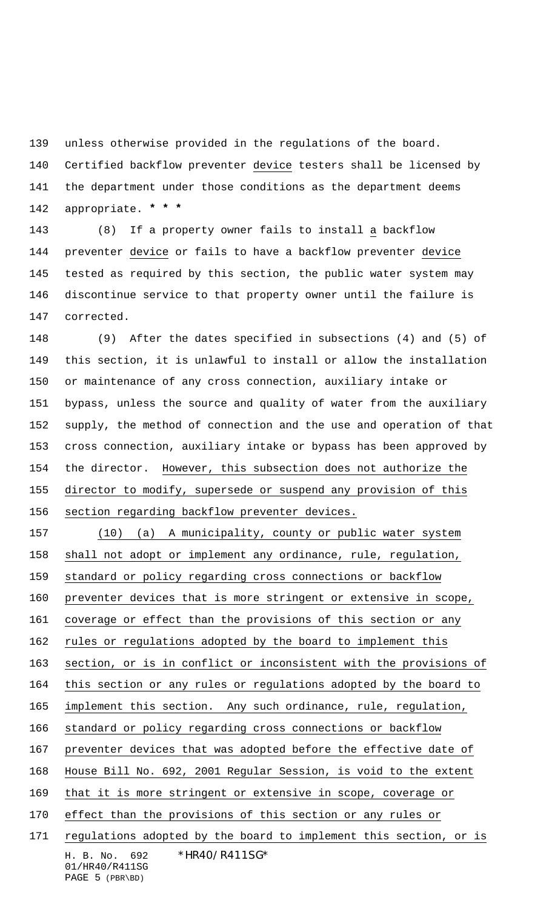unless otherwise provided in the regulations of the board.

 Certified backflow preventer device testers shall be licensed by the department under those conditions as the department deems appropriate. **\* \* \***

 (8) If a property owner fails to install a backflow preventer device or fails to have a backflow preventer device tested as required by this section, the public water system may discontinue service to that property owner until the failure is corrected.

 (9) After the dates specified in subsections (4) and (5) of this section, it is unlawful to install or allow the installation or maintenance of any cross connection, auxiliary intake or bypass, unless the source and quality of water from the auxiliary supply, the method of connection and the use and operation of that cross connection, auxiliary intake or bypass has been approved by the director. However, this subsection does not authorize the director to modify, supersede or suspend any provision of this section regarding backflow preventer devices.

H. B. No. 692 \*HR40/R411SG\* (10) (a) A municipality, county or public water system shall not adopt or implement any ordinance, rule, regulation, standard or policy regarding cross connections or backflow preventer devices that is more stringent or extensive in scope, coverage or effect than the provisions of this section or any rules or regulations adopted by the board to implement this 163 section, or is in conflict or inconsistent with the provisions of this section or any rules or regulations adopted by the board to implement this section. Any such ordinance, rule, regulation, standard or policy regarding cross connections or backflow preventer devices that was adopted before the effective date of House Bill No. 692, 2001 Regular Session, is void to the extent that it is more stringent or extensive in scope, coverage or 170 effect than the provisions of this section or any rules or 171 regulations adopted by the board to implement this section, or is

01/HR40/R411SG PAGE 5 (PBR\BD)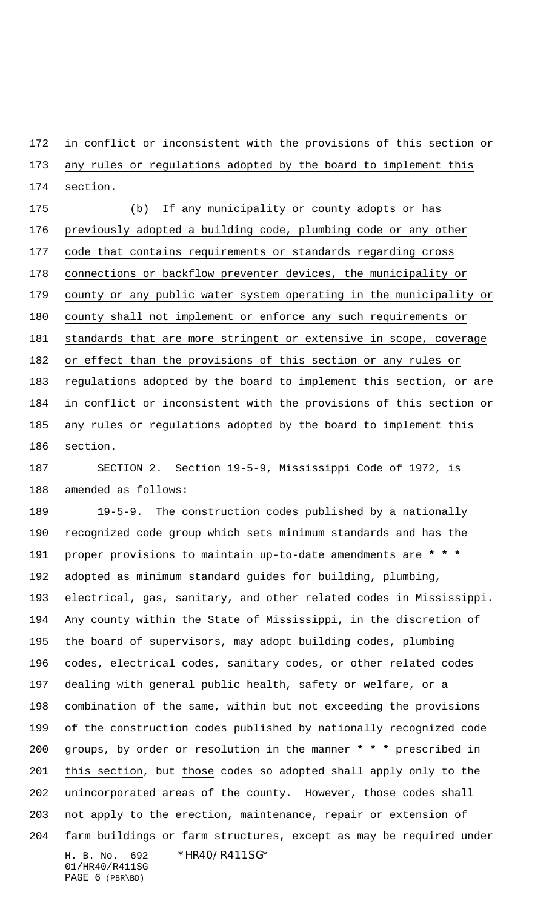in conflict or inconsistent with the provisions of this section or

 any rules or regulations adopted by the board to implement this section.

 (b) If any municipality or county adopts or has previously adopted a building code, plumbing code or any other code that contains requirements or standards regarding cross connections or backflow preventer devices, the municipality or county or any public water system operating in the municipality or county shall not implement or enforce any such requirements or standards that are more stringent or extensive in scope, coverage or effect than the provisions of this section or any rules or regulations adopted by the board to implement this section, or are in conflict or inconsistent with the provisions of this section or any rules or regulations adopted by the board to implement this 186 section.

 SECTION 2. Section 19-5-9, Mississippi Code of 1972, is amended as follows:

H. B. No. 692 \*HR40/R411SG\* 19-5-9. The construction codes published by a nationally recognized code group which sets minimum standards and has the proper provisions to maintain up-to-date amendments are **\* \* \*** adopted as minimum standard guides for building, plumbing, electrical, gas, sanitary, and other related codes in Mississippi. Any county within the State of Mississippi, in the discretion of the board of supervisors, may adopt building codes, plumbing codes, electrical codes, sanitary codes, or other related codes dealing with general public health, safety or welfare, or a combination of the same, within but not exceeding the provisions of the construction codes published by nationally recognized code groups, by order or resolution in the manner **\* \* \*** prescribed in this section, but those codes so adopted shall apply only to the unincorporated areas of the county. However, those codes shall not apply to the erection, maintenance, repair or extension of farm buildings or farm structures, except as may be required under

01/HR40/R411SG PAGE 6 (PBR\BD)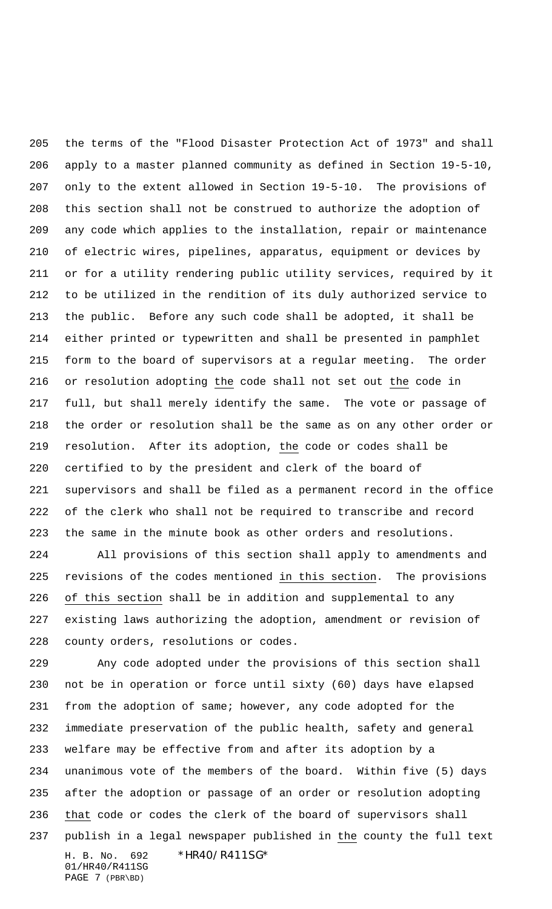the terms of the "Flood Disaster Protection Act of 1973" and shall apply to a master planned community as defined in Section 19-5-10, only to the extent allowed in Section 19-5-10. The provisions of this section shall not be construed to authorize the adoption of any code which applies to the installation, repair or maintenance of electric wires, pipelines, apparatus, equipment or devices by or for a utility rendering public utility services, required by it to be utilized in the rendition of its duly authorized service to the public. Before any such code shall be adopted, it shall be either printed or typewritten and shall be presented in pamphlet form to the board of supervisors at a regular meeting. The order or resolution adopting the code shall not set out the code in full, but shall merely identify the same. The vote or passage of the order or resolution shall be the same as on any other order or resolution. After its adoption, the code or codes shall be certified to by the president and clerk of the board of supervisors and shall be filed as a permanent record in the office of the clerk who shall not be required to transcribe and record the same in the minute book as other orders and resolutions.

 All provisions of this section shall apply to amendments and revisions of the codes mentioned in this section. The provisions of this section shall be in addition and supplemental to any existing laws authorizing the adoption, amendment or revision of county orders, resolutions or codes.

H. B. No. 692 \*HR40/R411SG\* 01/HR40/R411SG PAGE 7 (PBR\BD) Any code adopted under the provisions of this section shall not be in operation or force until sixty (60) days have elapsed from the adoption of same; however, any code adopted for the immediate preservation of the public health, safety and general welfare may be effective from and after its adoption by a unanimous vote of the members of the board. Within five (5) days after the adoption or passage of an order or resolution adopting that code or codes the clerk of the board of supervisors shall publish in a legal newspaper published in the county the full text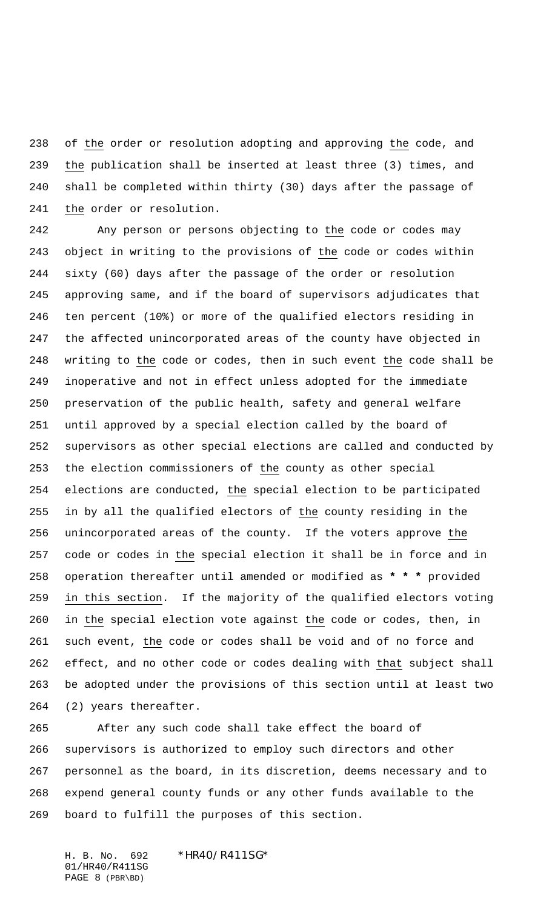of the order or resolution adopting and approving the code, and the publication shall be inserted at least three (3) times, and shall be completed within thirty (30) days after the passage of the order or resolution.

 Any person or persons objecting to the code or codes may object in writing to the provisions of the code or codes within sixty (60) days after the passage of the order or resolution approving same, and if the board of supervisors adjudicates that ten percent (10%) or more of the qualified electors residing in the affected unincorporated areas of the county have objected in writing to the code or codes, then in such event the code shall be inoperative and not in effect unless adopted for the immediate preservation of the public health, safety and general welfare until approved by a special election called by the board of supervisors as other special elections are called and conducted by the election commissioners of the county as other special elections are conducted, the special election to be participated in by all the qualified electors of the county residing in the unincorporated areas of the county. If the voters approve the code or codes in the special election it shall be in force and in operation thereafter until amended or modified as **\* \* \*** provided in this section. If the majority of the qualified electors voting in the special election vote against the code or codes, then, in such event, the code or codes shall be void and of no force and effect, and no other code or codes dealing with that subject shall be adopted under the provisions of this section until at least two (2) years thereafter.

 After any such code shall take effect the board of supervisors is authorized to employ such directors and other personnel as the board, in its discretion, deems necessary and to expend general county funds or any other funds available to the board to fulfill the purposes of this section.

H. B. No. 692 \*HR40/R411SG\* 01/HR40/R411SG PAGE 8 (PBR\BD)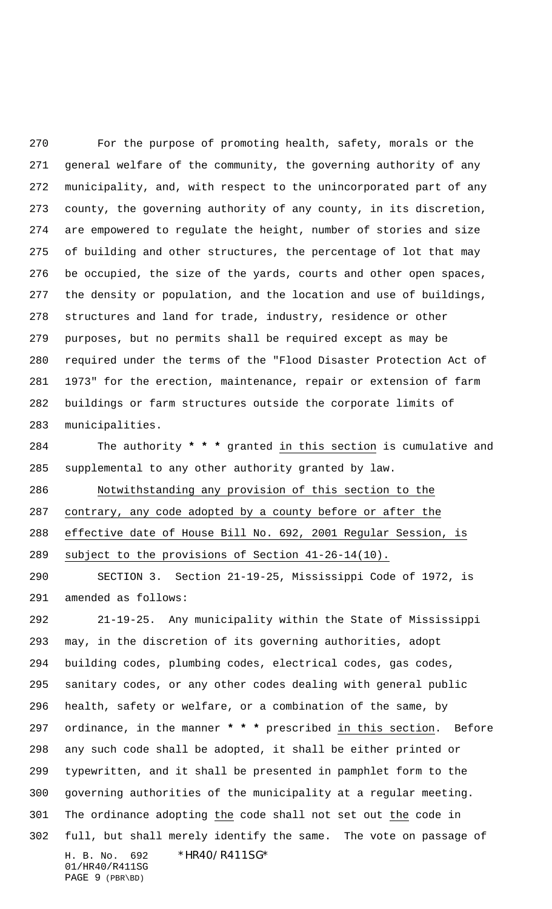For the purpose of promoting health, safety, morals or the general welfare of the community, the governing authority of any municipality, and, with respect to the unincorporated part of any county, the governing authority of any county, in its discretion, are empowered to regulate the height, number of stories and size of building and other structures, the percentage of lot that may be occupied, the size of the yards, courts and other open spaces, the density or population, and the location and use of buildings, structures and land for trade, industry, residence or other purposes, but no permits shall be required except as may be required under the terms of the "Flood Disaster Protection Act of 1973" for the erection, maintenance, repair or extension of farm buildings or farm structures outside the corporate limits of municipalities.

 The authority **\* \* \*** granted in this section is cumulative and supplemental to any other authority granted by law.

 Notwithstanding any provision of this section to the contrary, any code adopted by a county before or after the effective date of House Bill No. 692, 2001 Regular Session, is subject to the provisions of Section 41-26-14(10).

 SECTION 3. Section 21-19-25, Mississippi Code of 1972, is amended as follows:

H. B. No. 692 \*HR40/R411SG\* 01/HR40/R411SG 21-19-25. Any municipality within the State of Mississippi may, in the discretion of its governing authorities, adopt building codes, plumbing codes, electrical codes, gas codes, sanitary codes, or any other codes dealing with general public health, safety or welfare, or a combination of the same, by ordinance, in the manner **\* \* \*** prescribed in this section. Before any such code shall be adopted, it shall be either printed or typewritten, and it shall be presented in pamphlet form to the governing authorities of the municipality at a regular meeting. The ordinance adopting the code shall not set out the code in full, but shall merely identify the same. The vote on passage of

PAGE 9 (PBR\BD)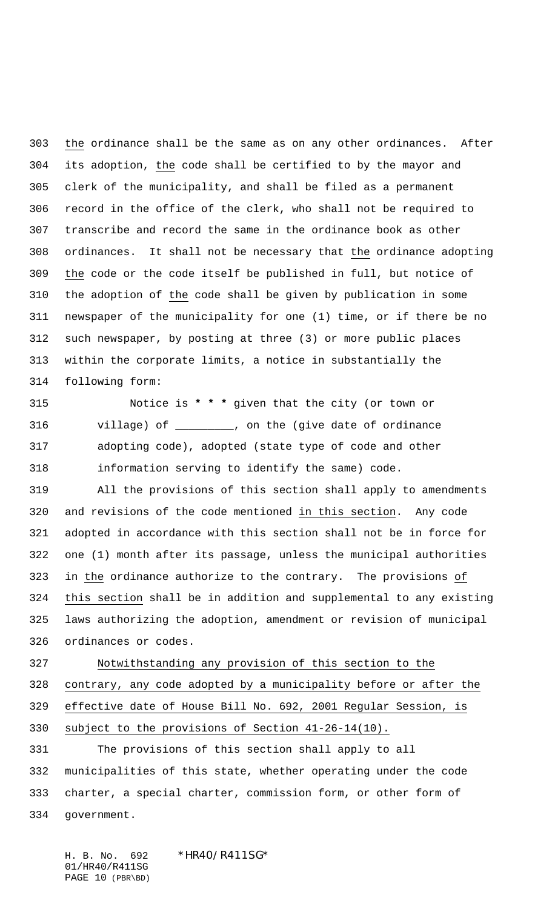the ordinance shall be the same as on any other ordinances. After its adoption, the code shall be certified to by the mayor and clerk of the municipality, and shall be filed as a permanent record in the office of the clerk, who shall not be required to transcribe and record the same in the ordinance book as other ordinances. It shall not be necessary that the ordinance adopting the code or the code itself be published in full, but notice of the adoption of the code shall be given by publication in some newspaper of the municipality for one (1) time, or if there be no such newspaper, by posting at three (3) or more public places within the corporate limits, a notice in substantially the following form:

 Notice is **\* \* \*** given that the city (or town or village) of \_\_\_\_\_\_\_\_\_, on the (give date of ordinance adopting code), adopted (state type of code and other information serving to identify the same) code.

 All the provisions of this section shall apply to amendments and revisions of the code mentioned in this section. Any code adopted in accordance with this section shall not be in force for one (1) month after its passage, unless the municipal authorities in the ordinance authorize to the contrary. The provisions of this section shall be in addition and supplemental to any existing laws authorizing the adoption, amendment or revision of municipal ordinances or codes.

 Notwithstanding any provision of this section to the contrary, any code adopted by a municipality before or after the effective date of House Bill No. 692, 2001 Regular Session, is subject to the provisions of Section 41-26-14(10).

 The provisions of this section shall apply to all municipalities of this state, whether operating under the code charter, a special charter, commission form, or other form of government.

H. B. No. 692 \*HR40/R411SG\* 01/HR40/R411SG PAGE 10 (PBR\BD)